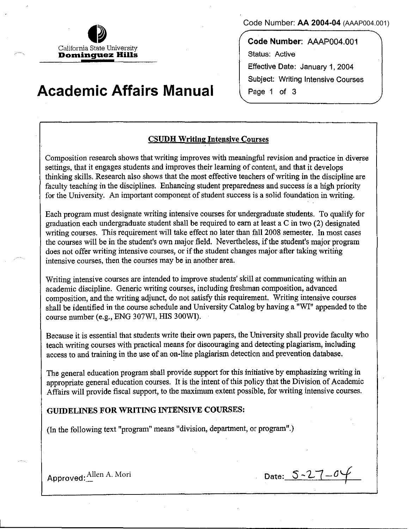California State University Don~ingu.ez **Hills** 

# **Academic Affairs Manual**

Code Number: **AA 2004-04** (AAAP004.001)

Code Number: AAAP004.001 Status: Active Effective Date: January 1, 2004 Subject: Writing Intensive Courses Page 1 of 3

## CSUDH Writing lntensive Courses

Composition research shows that writing improves with meaningful revision and practice in diverse settings, that it engages students and improves their learning of content, and that it develops thinking skills. Research also shows that the most effective teachers ofwriting in the discipline are faculty teaching in the disciplines. Enhancing student preparedness and success is a high priority for the University. An important component of student success is a solid foundation in writing.

Each program must designate writing intensive courses for undergraduate students. To qualify for graduation each undergraduate student shall be required to earn at least a C in two (2) designated writing courses. This requirement will take effect no later than fall 2008 semester. In most cases the courses will be in the student's own major field. Nevertheless, if the student's major program does not offer writing intensive courses, or if the student changes major after taking writing intensive courses, then the courses may be in another area.

Writing intensive courses are intended to improve students' skill at communicating within an academic discipline. Generic writing courses, including freshman composition, advanced composition, and the writing adjunct, do not satisfy this requirement. Writing intensive courses shall be identified in the course schedule and University Catalog by having a "WI" appended to the course number (e.g., ENG 307WI, HIS 300WI).

Because it is essential that students write their own papers, the University shall provide faculty who teach writing courses with practical means for discouraging and detecting plagiarism, including access to and training in the use of an on-line plagiarism detection and prevention database.

The general education program shall provide support for this initiative by emphasizing writing in appropriate general education courses. It is the intent of this policy that the Division of Academic Affairs will provide fiscal support, to the maximum extent possible, for writing intensive courses.

### GUIDELINES FOR WRITING INTENSIVE COURSES:

(In the following text "program" means "division, department, or program".)

Approved:  $\frac{\text{Allen A. Mori}}{}$  Date:  $S-2-7-0$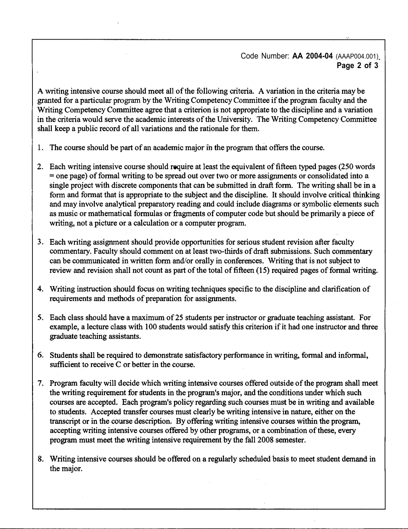#### Code Number: **AA 2004-04** (AAAP004.001) **Page 2 of 3**

**A writing intensive course should meet all of the following criteria. A variation in the criteria may be granted for a particular program by the Writing Competency Committee if the program faculty and the Writing Competency Committee agree that a criterion is not appropriate to the discipline and a variation in the criteria would serve the academic interests of the University. The Writing Competency Committee shall keep a public record of all variations and the rationale for them.** 

- **1. The course should be part of an academic major in the program that offers the course.**
- **2. Each writing intensive course should require at least the equivalent of fifteen typed pages (250 words** = **one page) of fonnal writing to be spread out over two or more assignments or consolidated into a single project with discrete components that can be submitted in draft fonn. The writing shall be in a fonn and fonnat that is appropriate to the subject and the discipline. It should involve critical thinking and may involve analytical preparatory reading and could include diagrams or symbolic elements such as music or mathematical formulas or fragments of computer code but should be primarily a piece of writing, not a picture or a calculation or a computer program.**
- **3. Each writing assignment should provide opportunities for serious student revision after faculty** commentary. Faculty should comment on at least two-thirds of draft submissions. Such commentary **can be communicated in written fonn and/or orally in conferences. Writing that is not subject to review and revision shall not count as part of the total of fifteen ( 15) required pages of formal writing.**
- **4. Writing instruction should focus on writing techniques specific to the discipline and clarification of requirements and methods of preparation for assignments.**
- *5.* **Each class should have a maximum of 25 students per instructor or graduate teaching assistant. For example, a lecture class with 100 students would satisfy this criterion if it had one instructor and three graduate teaching assistants.**
- **6. Students shall be required to demonstrate satisfactory performance in writing, formal and informal, sufficient to receive C or better in the course.**
- **7. Program faculty will decide which writing intensive courses offered outside of the program shall meet the writing requirement for students in the program's major, and the conditions under which such courses are accepted. Each program's policy regarding such courses must be in writing and available** to students. Accepted transfer courses must clearly be writing intensive in nature, either on the **transcript or in the course description. By offering writing intensive courses within the program, accepting writing intensive courses offered by other programs, or a combination of these, every program must meet the writing intensive requirement by the fall 2008 semester.**
- **8. Writing intensive courses should be offered on a regularly scheduled basis to meet student demand in the major.**